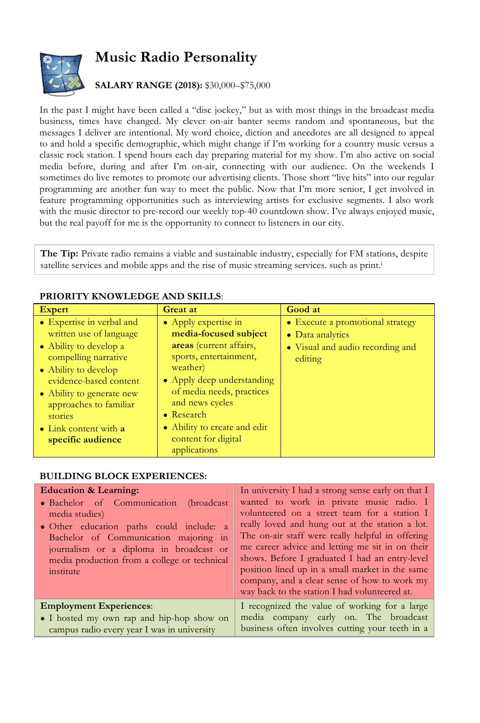## **Music Radio Personality**



## **SALARY RANGE (2018):** \$30,000–\$75,000

In the past I might have been called a "disc jockey," but as with most things in the broadcast media business, times have changed. My clever on-air banter seems random and spontaneous, but the messages I deliver are intentional. My word choice, diction and anecdotes are all designed to appeal to and hold a specific demographic, which might change if I'm working for a country music versus a classic rock station. I spend hours each day preparing material for my show. I'm also active on social media before, during and after I'm on-air, connecting with our audience. On the weekends I sometimes do live remotes to promote our advertising clients. Those short "live hits" into our regular programming are another fun way to meet the public. Now that I'm more senior, I get involved in feature programming opportunities such as interviewing artists for exclusive segments. I also work with the music director to pre-record our weekly top-40 countdown show. I've always enjoyed music, but the real payoff for me is the opportunity to connect to listeners in our city.

**The Tip:** Private radio remains a viable and sustainable industry, especially for FM stations, despite satellite services and mobile apps and the rise of music streaming services. such as print.i

| • Expertise in verbal and<br>• Apply expertise in<br>• Execute a promotional strategy                                                                                                                                                                                                                                                                                                                                                                                                                                                                                       | <b>Expert</b> | <b>Great at</b> | Good at |
|-----------------------------------------------------------------------------------------------------------------------------------------------------------------------------------------------------------------------------------------------------------------------------------------------------------------------------------------------------------------------------------------------------------------------------------------------------------------------------------------------------------------------------------------------------------------------------|---------------|-----------------|---------|
| written use of language<br>media-focused subject<br>• Data analytics<br>areas (current affairs,<br>• Ability to develop a<br>• Visual and audio recording and<br>sports, entertainment,<br>compelling narrative<br>editing<br>weather)<br>• Ability to develop<br>• Apply deep understanding<br>evidence-based content<br>of media needs, practices<br>• Ability to generate new<br>and news cycles<br>approaches to familiar<br>• Research<br>stories<br>• Ability to create and edit<br>• Link content with a<br>content for digital<br>specific audience<br>applications |               |                 |         |

## **PRIORITY KNOWLEDGE AND SKILLS**:

## **BUILDING BLOCK EXPERIENCES:**

| <b>Education &amp; Learning:</b><br>• Bachelor of Communication<br>(broadcast)<br>media studies)<br>• Other education paths could include: a<br>Bachelor of Communication majoring in<br>journalism or a diploma in broadcast or<br>media production from a college or technical<br>institute | In university I had a strong sense early on that I<br>wanted to work in private music radio. I<br>volunteered on a street team for a station I<br>really loved and hung out at the station a lot.<br>The on-air staff were really helpful in offering<br>me career advice and letting me sit in on their<br>shows. Before I graduated I had an entry-level<br>position lined up in a small market in the same<br>company, and a clear sense of how to work my<br>way back to the station I had volunteered at. |
|-----------------------------------------------------------------------------------------------------------------------------------------------------------------------------------------------------------------------------------------------------------------------------------------------|----------------------------------------------------------------------------------------------------------------------------------------------------------------------------------------------------------------------------------------------------------------------------------------------------------------------------------------------------------------------------------------------------------------------------------------------------------------------------------------------------------------|
| <b>Employment Experiences:</b>                                                                                                                                                                                                                                                                | I recognized the value of working for a large                                                                                                                                                                                                                                                                                                                                                                                                                                                                  |
| • I hosted my own rap and hip-hop show on<br>campus radio every year I was in university                                                                                                                                                                                                      | media company early on. The broadcast<br>business often involves cutting your teeth in a                                                                                                                                                                                                                                                                                                                                                                                                                       |